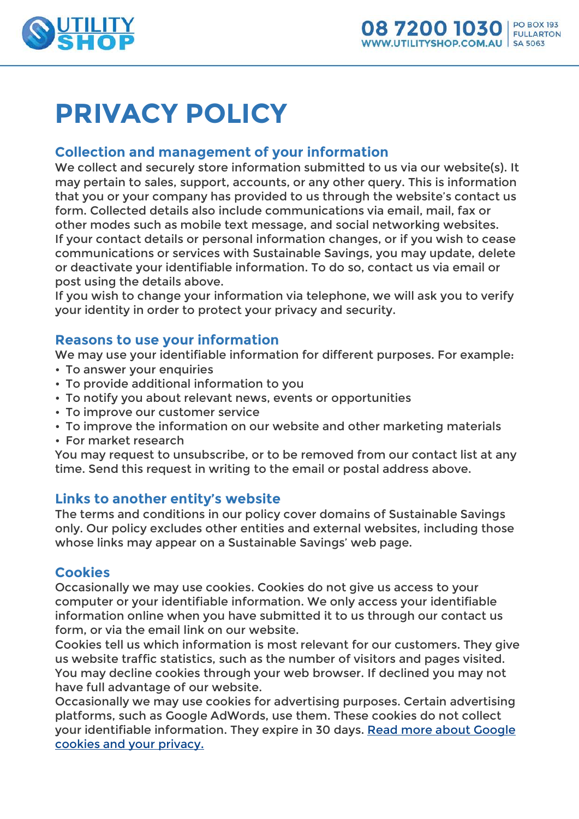

# **PRIVACY POLICY**

## **Collection and management of your information**

We collect and securely store information submitted to us via our website(s). It may pertain to sales, support, accounts, or any other query. This is information that you or your company has provided to us through the website's contact us form. Collected details also include communications via email, mail, fax or other modes such as mobile text message, and social networking websites. If your contact details or personal information changes, or if you wish to cease communications or services with Sustainable Savings, you may update, delete or deactivate your identifiable information. To do so, contact us via email or post using the details above.

If you wish to change your information via telephone, we will ask you to verify your identity in order to protect your privacy and security.

## **Reasons to use your information**

We may use your identifiable information for different purposes. For example:

- To answer your enquiries
- To provide additional information to you
- To notify you about relevant news, events or opportunities
- To improve our customer service
- To improve the information on our website and other marketing materials
- For market research

You may request to unsubscribe, or to be removed from our contact list at any time. Send this request in writing to the email or postal address above.

## **Links to another entity's website**

The terms and conditions in our policy cover domains of Sustainable Savings only. Our policy excludes other entities and external websites, including those whose links may appear on a Sustainable Savings' web page.

## **Cookies**

Occasionally we may use cookies. Cookies do not give us access to your computer or your identifiable information. We only access your identifiable information online when you have submitted it to us through our contact us form, or via the email link on our website.

Cookies tell us which information is most relevant for our customers. They give us website traffic statistics, such as the number of visitors and pages visited. You may decline cookies through your web browser. If declined you may not have full advantage of our website.

Occasionally we may use cookies for advertising purposes. Certain advertising platforms, such as Google AdWords, use them. These cookies do not collect your identifiable information. They expire in 30 days. [Read more about Google](http://adwords.google.com/support/aw/bin/answer.py?hl=en&answer=6350)  [cookies and your privacy.](http://adwords.google.com/support/aw/bin/answer.py?hl=en&answer=6350)